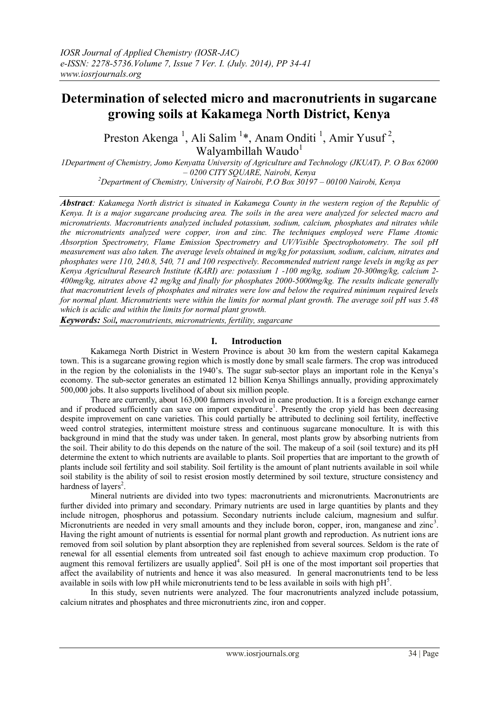# **Determination of selected micro and macronutrients in sugarcane growing soils at Kakamega North District, Kenya**

Preston Akenga<sup>1</sup>, Ali Salim<sup>1\*</sup>, Anam Onditi<sup>1</sup>, Amir Yusuf<sup>2</sup>, Walyambillah Waudo $^1$ 

*1Department of Chemistry, Jomo Kenyatta University of Agriculture and Technology (JKUAT), P. O Box 62000 – 0200 CITY SQUARE, Nairobi, Kenya <sup>2</sup>Department of Chemistry, University of Nairobi, P.O Box 30197 – 00100 Nairobi, Kenya*

*Abstract: Kakamega North district is situated in Kakamega County in the western region of the Republic of Kenya. It is a major sugarcane producing area. The soils in the area were analyzed for selected macro and micronutrients. Macronutrients analyzed included potassium, sodium, calcium, phosphates and nitrates while the micronutrients analyzed were copper, iron and zinc. The techniques employed were Flame Atomic Absorption Spectrometry, Flame Emission Spectrometry and UV/Visible Spectrophotometry. The soil pH measurement was also taken. The average levels obtained in mg/kg for potassium, sodium, calcium, nitrates and phosphates were 110, 240.8, 540, 71 and 100 respectively. Recommended nutrient range levels in mg/kg as per Kenya Agricultural Research Institute (KARI) are: potassium 1 -100 mg/kg, sodium 20-300mg/kg, calcium 2- 400mg/kg, nitrates above 42 mg/kg and finally for phosphates 2000-5000mg/kg. The results indicate generally that macronutrient levels of phosphates and nitrates were low and below the required minimum required levels for normal plant. Micronutrients were within the limits for normal plant growth. The average soil pH was 5.48 which is acidic and within the limits for normal plant growth.* 

*Keywords: Soil, macronutrients, micronutrients, fertility, sugarcane*

## **I. Introduction**

Kakamega North District in Western Province is about 30 km from the western capital Kakamega town. This is a sugarcane growing region which is mostly done by small scale farmers. The crop was introduced in the region by the colonialists in the 1940's. The sugar sub-sector plays an important role in the Kenya's economy. The sub-sector generates an estimated 12 billion Kenya Shillings annually, providing approximately 500,000 jobs. It also supports livelihood of about six million people.

There are currently, about 163,000 farmers involved in cane production. It is a foreign exchange earner and if produced sufficiently can save on import expenditure<sup>1</sup>. Presently the crop yield has been decreasing despite improvement on cane varieties. This could partially be attributed to declining soil fertility, ineffective weed control strategies, intermittent moisture stress and continuous sugarcane monoculture. It is with this background in mind that the study was under taken. In general, most plants grow by absorbing nutrients from the soil. Their ability to do this depends on the nature of the soil. The makeup of a soil (soil texture) and its pH determine the extent to which nutrients are available to plants. Soil properties that are important to the growth of plants include soil fertility and soil stability. Soil fertility is the amount of plant nutrients available in soil while soil stability is the ability of soil to resist erosion mostly determined by soil texture, structure consistency and hardness of layers<sup>2</sup>.

Mineral nutrients are divided into two types: macronutrients and micronutrients. Macronutrients are further divided into primary and secondary. Primary nutrients are used in large quantities by plants and they include nitrogen, phosphorus and potassium. Secondary nutrients include calcium, magnesium and sulfur. Micronutrients are needed in very small amounts and they include boron, copper, iron, manganese and zinc<sup>3</sup>. Having the right amount of nutrients is essential for normal plant growth and reproduction. As nutrient ions are removed from soil solution by plant absorption they are replenished from several sources. Seldom is the rate of renewal for all essential elements from untreated soil fast enough to achieve maximum crop production. To augment this removal fertilizers are usually applied<sup>4</sup>. Soil pH is one of the most important soil properties that affect the availability of nutrients and hence it was also measured. In general macronutrients tend to be less available in soils with low pH while micronutrients tend to be less available in soils with high  $pH<sup>5</sup>$ .

In this study, seven nutrients were analyzed. The four macronutrients analyzed include potassium, calcium nitrates and phosphates and three micronutrients zinc, iron and copper.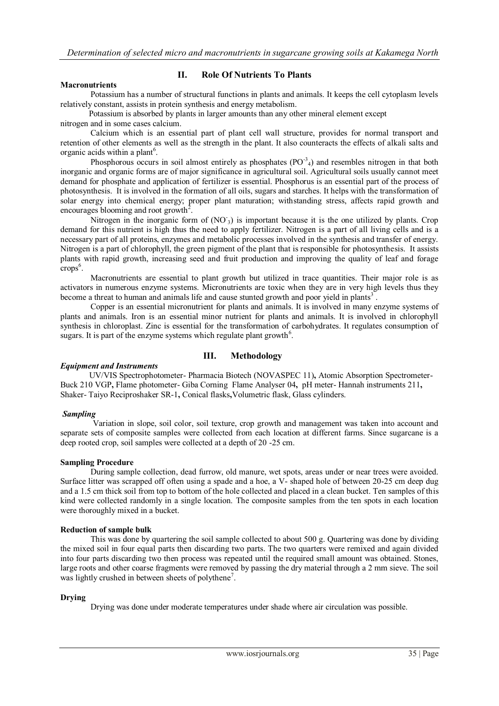#### **Macronutrients**

## **II. Role Of Nutrients To Plants**

Potassium has a number of structural functions in plants and animals. It keeps the cell cytoplasm levels relatively constant, assists in protein synthesis and energy metabolism.

Potassium is absorbed by plants in larger amounts than any other mineral element except nitrogen and in some cases calcium.

Calcium which is an essential part of plant cell wall structure, provides for normal transport and retention of other elements as well as the strength in the plant. It also counteracts the effects of alkali salts and organic acids within a plant<sup>6</sup>.

Phosphorous occurs in soil almost entirely as phosphates  $(PO^{-3}A)$  and resembles nitrogen in that both inorganic and organic forms are of major significance in agricultural soil. Agricultural soils usually cannot meet demand for phosphate and application of fertilizer is essential. Phosphorus is an essential part of the process of photosynthesis. It is involved in the formation of all oils, sugars and starches. It helps with the transformation of solar energy into chemical energy; proper plant maturation; withstanding stress, affects rapid growth and encourages blooming and root growth<sup>2</sup>.

Nitrogen in the inorganic form of (NO<sub>3</sub>) is important because it is the one utilized by plants. Crop demand for this nutrient is high thus the need to apply fertilizer. Nitrogen is a part of all living cells and is a necessary part of all proteins, enzymes and metabolic processes involved in the synthesis and transfer of energy. Nitrogen is a part of chlorophyll, the green pigment of the plant that is responsible for photosynthesis. It assists plants with rapid growth, increasing seed and fruit production and improving the quality of leaf and forage  $crops<sup>6</sup>$ .

Macronutrients are essential to plant growth but utilized in trace quantities. Their major role is as activators in numerous enzyme systems. Micronutrients are toxic when they are in very high levels thus they become a threat to human and animals life and cause stunted growth and poor yield in plants<sup>3</sup>.

Copper is an essential micronutrient for plants and animals. It is involved in many enzyme systems of plants and animals. Iron is an essential minor nutrient for plants and animals. It is involved in chlorophyll synthesis in chloroplast. Zinc is essential for the transformation of carbohydrates. It regulates consumption of sugars. It is part of the enzyme systems which regulate plant growth<sup>6</sup>.

## **III. Methodology**

#### *Equipment and Instruments*

UV/VIS Spectrophotometer- Pharmacia Biotech (NOVASPEC 11)**,** Atomic Absorption Spectrometer-Buck 210 VGP**,** Flame photometer- Giba Corning Flame Analyser 04**,** pH meter- Hannah instruments 211**,**  Shaker- Taiyo Reciproshaker SR-1**,** Conical flasks**,**Volumetric flask, Glass cylinders.

#### *Sampling*

Variation in slope, soil color, soil texture, crop growth and management was taken into account and separate sets of composite samples were collected from each location at different farms. Since sugarcane is a deep rooted crop, soil samples were collected at a depth of 20 -25 cm.

#### **Sampling Procedure**

During sample collection, dead furrow, old manure, wet spots, areas under or near trees were avoided. Surface litter was scrapped off often using a spade and a hoe, a V- shaped hole of between 20-25 cm deep dug and a 1.5 cm thick soil from top to bottom of the hole collected and placed in a clean bucket. Ten samples of this kind were collected randomly in a single location. The composite samples from the ten spots in each location were thoroughly mixed in a bucket.

#### **Reduction of sample bulk**

This was done by quartering the soil sample collected to about 500 g. Quartering was done by dividing the mixed soil in four equal parts then discarding two parts. The two quarters were remixed and again divided into four parts discarding two then process was repeated until the required small amount was obtained. Stones, large roots and other coarse fragments were removed by passing the dry material through a 2 mm sieve. The soil was lightly crushed in between sheets of polythene<sup>7</sup>.

#### **Drying**

Drying was done under moderate temperatures under shade where air circulation was possible.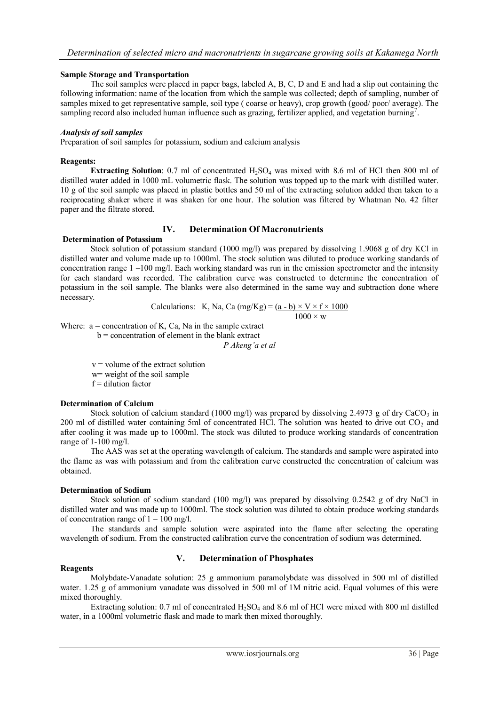#### **Sample Storage and Transportation**

The soil samples were placed in paper bags, labeled A, B, C, D and E and had a slip out containing the following information: name of the location from which the sample was collected; depth of sampling, number of samples mixed to get representative sample, soil type ( coarse or heavy), crop growth (good/ poor/ average). The sampling record also included human influence such as grazing, fertilizer applied, and vegetation burning<sup>7</sup>.

#### *Analysis of soil samples*

Preparation of soil samples for potassium, sodium and calcium analysis

## **Reagents:**

**Extracting Solution**: 0.7 ml of concentrated  $H_2SO_4$  was mixed with 8.6 ml of HCl then 800 ml of distilled water added in 1000 mL volumetric flask. The solution was topped up to the mark with distilled water. 10 g of the soil sample was placed in plastic bottles and 50 ml of the extracting solution added then taken to a reciprocating shaker where it was shaken for one hour. The solution was filtered by Whatman No. 42 filter paper and the filtrate stored.

## **IV. Determination Of Macronutrients**

# **Determination of Potassium**

Stock solution of potassium standard (1000 mg/l) was prepared by dissolving 1.9068 g of dry KCl in distilled water and volume made up to 1000ml. The stock solution was diluted to produce working standards of concentration range 1 –100 mg/l. Each working standard was run in the emission spectrometer and the intensity for each standard was recorded. The calibration curve was constructed to determine the concentration of potassium in the soil sample. The blanks were also determined in the same way and subtraction done where necessary.

Calculations: K, Na, Ca (mg/Kg) = 
$$
\frac{(a - b) \times V \times f \times 1000}{1000 \times w}
$$

$$
0 \times \text{w}
$$

Where:  $a =$  concentration of K, Ca, Na in the sample extract  $b =$  concentration of element in the blank extract

*P Akeng'a et al*

 $v =$  volume of the extract solution w= weight of the soil sample  $f =$  dilution factor

## **Determination of Calcium**

Stock solution of calcium standard (1000 mg/l) was prepared by dissolving 2.4973 g of dry CaCO<sub>3</sub> in 200 ml of distilled water containing 5ml of concentrated HCl. The solution was heated to drive out  $CO<sub>2</sub>$  and after cooling it was made up to 1000ml. The stock was diluted to produce working standards of concentration range of 1-100 mg/l.

The AAS was set at the operating wavelength of calcium. The standards and sample were aspirated into the flame as was with potassium and from the calibration curve constructed the concentration of calcium was obtained.

## **Determination of Sodium**

Stock solution of sodium standard (100 mg/l) was prepared by dissolving 0.2542 g of dry NaCl in distilled water and was made up to 1000ml. The stock solution was diluted to obtain produce working standards of concentration range of  $1 - 100$  mg/l.

The standards and sample solution were aspirated into the flame after selecting the operating wavelength of sodium. From the constructed calibration curve the concentration of sodium was determined.

## **V. Determination of Phosphates**

#### **Reagents**

Molybdate-Vanadate solution: 25 g ammonium paramolybdate was dissolved in 500 ml of distilled water. 1.25 g of ammonium vanadate was dissolved in 500 ml of 1M nitric acid. Equal volumes of this were mixed thoroughly.

Extracting solution: 0.7 ml of concentrated  $H_2SO_4$  and 8.6 ml of HCl were mixed with 800 ml distilled water, in a 1000ml volumetric flask and made to mark then mixed thoroughly.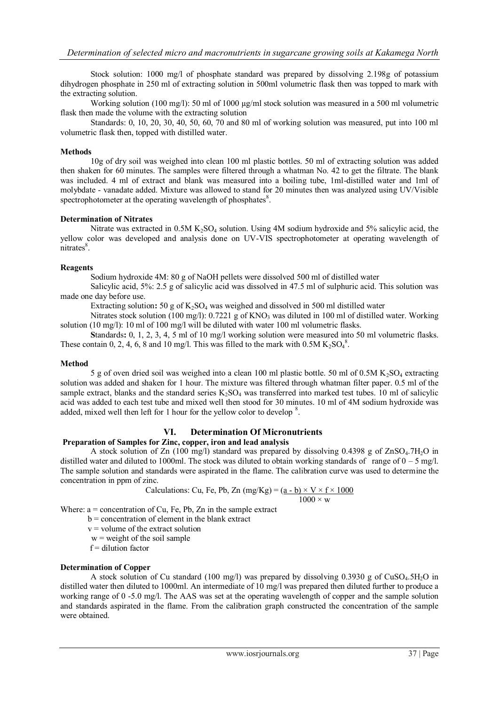Stock solution: 1000 mg/l of phosphate standard was prepared by dissolving 2.198g of potassium dihydrogen phosphate in 250 ml of extracting solution in 500ml volumetric flask then was topped to mark with the extracting solution.

Working solution (100 mg/l): 50 ml of 1000  $\mu$ g/ml stock solution was measured in a 500 ml volumetric flask then made the volume with the extracting solution

Standards: 0, 10, 20, 30, 40, 50, 60, 70 and 80 ml of working solution was measured, put into 100 ml volumetric flask then, topped with distilled water.

#### **Methods**

10g of dry soil was weighed into clean 100 ml plastic bottles. 50 ml of extracting solution was added then shaken for 60 minutes. The samples were filtered through a whatman No. 42 to get the filtrate. The blank was included. 4 ml of extract and blank was measured into a boiling tube, 1ml-distilled water and 1ml of molybdate - vanadate added. Mixture was allowed to stand for 20 minutes then was analyzed using UV/Visible spectrophotometer at the operating wavelength of phosphates<sup>8</sup>.

### **Determination of Nitrates**

Nitrate was extracted in  $0.5M K<sub>2</sub>SO<sub>4</sub>$  solution. Using 4M sodium hydroxide and 5% salicylic acid, the yellow color was developed and analysis done on UV-VIS spectrophotometer at operating wavelength of  $nitrates<sup>8</sup>$ .

### **Reagents**

Sodium hydroxide 4M: 80 g of NaOH pellets were dissolved 500 ml of distilled water

Salicylic acid, 5%: 2.5 g of salicylic acid was dissolved in 47.5 ml of sulphuric acid. This solution was made one day before use.

Extracting solution:  $50 g$  of  $K_2SO_4$  was weighed and dissolved in 500 ml distilled water

Nitrates stock solution (100 mg/l): 0.7221 g of KNO3 was diluted in 100 ml of distilled water. Working solution (10 mg/l): 10 ml of 100 mg/l will be diluted with water 100 ml volumetric flasks.

**S**tandards**:** 0, 1, 2, 3, 4, 5 ml of 10 mg/l working solution were measured into 50 ml volumetric flasks. These contain 0, 2, 4, 6, 8 and 10 mg/l. This was filled to the mark with  $0.5M K<sub>2</sub>SO<sub>4</sub><sup>8</sup>$ .

#### **Method**

5 g of oven dried soil was weighed into a clean 100 ml plastic bottle. 50 ml of 0.5M  $K_2SO_4$  extracting solution was added and shaken for 1 hour. The mixture was filtered through whatman filter paper. 0.5 ml of the sample extract, blanks and the standard series  $K_2SO_4$  was transferred into marked test tubes. 10 ml of salicylic acid was added to each test tube and mixed well then stood for 30 minutes. 10 ml of 4M sodium hydroxide was added, mixed well then left for 1 hour for the yellow color to develop  $8$ .

## **VI. Determination Of Micronutrients**

## **Preparation of Samples for Zinc, copper, iron and lead analysis**

A stock solution of Zn (100 mg/l) standard was prepared by dissolving 0.4398 g of ZnSO<sub>4</sub>.7H<sub>2</sub>O in distilled water and diluted to 1000ml. The stock was diluted to obtain working standards of range of  $0 - 5$  mg/l. The sample solution and standards were aspirated in the flame. The calibration curve was used to determine the concentration in ppm of zinc.

Calculations: Cu, Fe, Pb, Zn (mg/Kg) = 
$$
(\underline{a - b}) \times V \times f \times 1000
$$
  
1000 × w

Where:  $a =$  concentration of Cu, Fe, Pb, Zn in the sample extract

- $b =$  concentration of element in the blank extract
- $v =$  volume of the extract solution

 $w = weight of the soil sample$ 

 $f =$  dilution factor

#### **Determination of Copper**

A stock solution of Cu standard (100 mg/l) was prepared by dissolving 0.3930 g of CuSO<sub>4</sub>.5H<sub>2</sub>O in distilled water then diluted to 1000ml. An intermediate of 10 mg/l was prepared then diluted further to produce a working range of 0 -5.0 mg/l. The AAS was set at the operating wavelength of copper and the sample solution and standards aspirated in the flame. From the calibration graph constructed the concentration of the sample were obtained.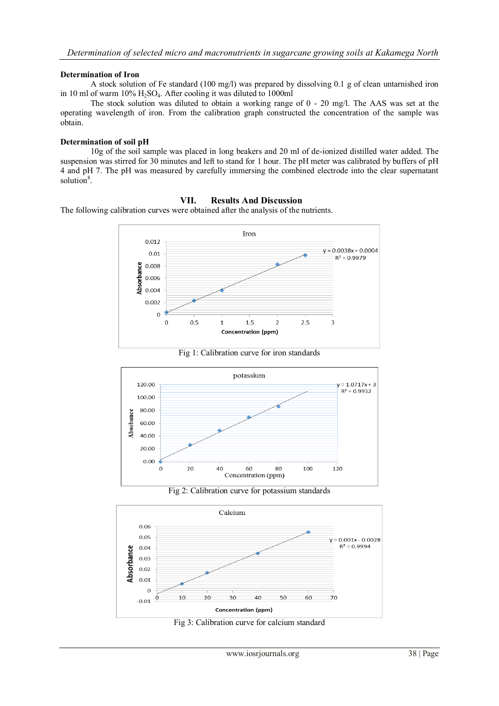## **Determination of Iron**

A stock solution of Fe standard (100 mg/l) was prepared by dissolving 0.1 g of clean untarnished iron in 10 ml of warm 10% H2SO4. After cooling it was diluted to 1000ml

The stock solution was diluted to obtain a working range of 0 - 20 mg/l. The AAS was set at the operating wavelength of iron. From the calibration graph constructed the concentration of the sample was obtain.

#### **Determination of soil pH**

10g of the soil sample was placed in long beakers and 20 ml of de-ionized distilled water added. The suspension was stirred for 30 minutes and left to stand for 1 hour. The pH meter was calibrated by buffers of pH 4 and pH 7. The pH was measured by carefully immersing the combined electrode into the clear supernatant solution<sup>8</sup>.

## **VII. Results And Discussion**

The following calibration curves were obtained after the analysis of the nutrients.



Fig 1: Calibration curve for iron standards







Fig 3: Calibration curve for calcium standard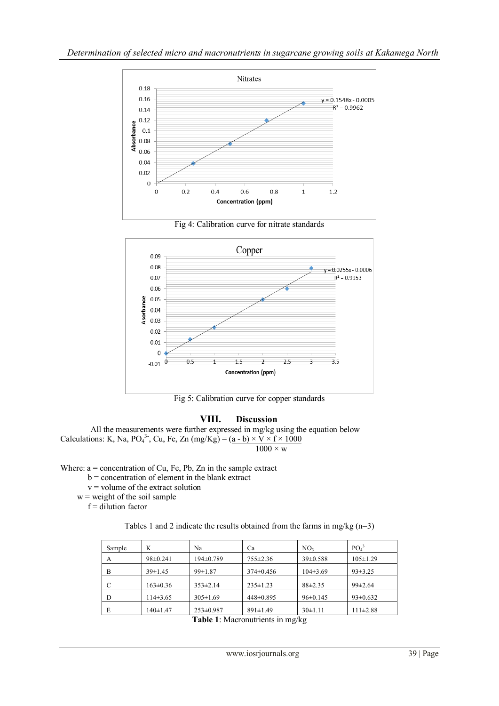





Fig 5: Calibration curve for copper standards

## **VIII. Discussion**

All the measurements were further expressed in mg/kg using the equation below Calculations: K, Na, PO<sub>4</sub><sup>3</sup>, Cu, Fe, Zn (mg/Kg) =  $(\underline{a} - \underline{b}) \times \underline{V} \times \underline{f} \times 1000$  $1000 \times w$ 

Where:  $a =$  concentration of Cu, Fe, Pb, Zn in the sample extract

b = concentration of element in the blank extract

 $v =$  volume of the extract solution

 $w$  = weight of the soil sample

 $f =$  dilution factor

| Tables 1 and 2 indicate the results obtained from the farms in mg/kg $(n=3)$ |  |  |
|------------------------------------------------------------------------------|--|--|
|------------------------------------------------------------------------------|--|--|

| Sample | K              | Na              | Ca              | NO <sub>3</sub> | PO <sub>4</sub> <sup>3</sup> |
|--------|----------------|-----------------|-----------------|-----------------|------------------------------|
| A      | $98 \pm 0.241$ | $194\pm0.789$   | $755 \pm 2.36$  | $39 \pm 0.588$  | $105 \pm 1.29$               |
| B      | $39 \pm 1.45$  | $99 \pm 1.87$   | $374 \pm 0.456$ | $104\pm3.69$    | $93 \pm 3.25$                |
| C      | $163 \pm 0.36$ | $353 \pm 2.14$  | $235 \pm 1.23$  | $88 + 2.35$     | $99 \pm 2.64$                |
| D      | $114\pm3.65$   | $305 \pm 1.69$  | 448±0.895       | $96 \pm 0.145$  | $93 \pm 0.632$               |
| E      | $140 \pm 1.47$ | $253 \pm 0.987$ | $891 \pm 1.49$  | $30 \pm 1.11$   | $111 \pm 2.88$               |

**Table 1**: Macronutrients in mg/kg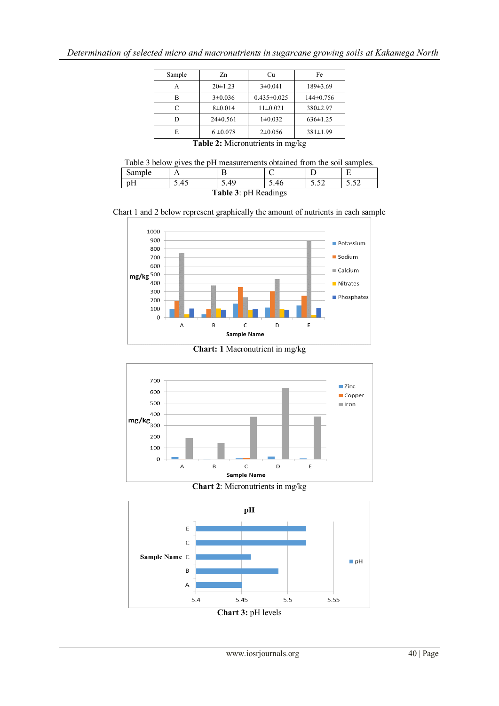| Sample | Zn            | Cu                | Fe             |
|--------|---------------|-------------------|----------------|
|        | $20 \pm 1.23$ | $3\pm0.041$       | 189±3.69       |
| B      | $3\pm0.036$   | $0.435 \pm 0.025$ | $144\pm0.756$  |
| C      | $8\pm0.014$   | $11\pm0.021$      | $380 \pm 2.97$ |
|        | $24\pm0.561$  | $1\pm0.032$       | $636 \pm 1.25$ |
| E      | $6 \pm 0.078$ | $2\pm 0.056$      | $381 \pm 1.99$ |

**Table 2:** Micronutrients in mg/kg

Table 3 below gives the pH measurements obtained from the soil samples.

| Sample                      |      |     |  |                   |              |
|-----------------------------|------|-----|--|-------------------|--------------|
| $\overline{\phantom{a}}$    | 5.45 | .49 |  | $\sqrt{2}$<br>ے ر | c٦<br>ے ر. ر |
| <b>Table 3: pH Readings</b> |      |     |  |                   |              |

Chart 1 and 2 below represent graphically the amount of nutrients in each sample



**Chart: 1** Macronutrient in mg/kg



**Chart 2**: Micronutrients in mg/kg